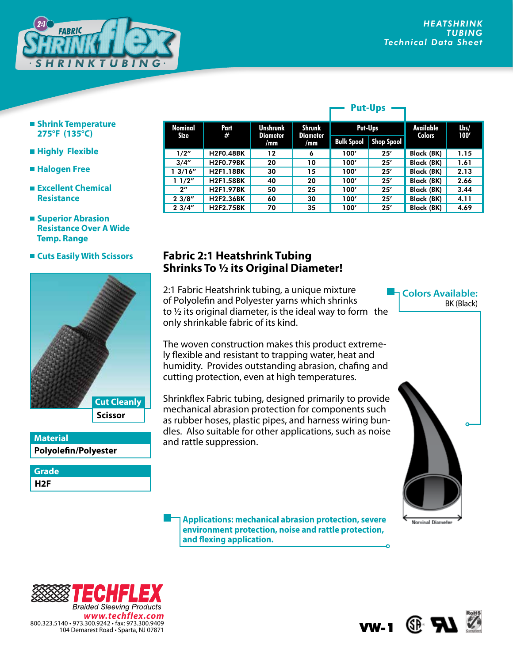**Colors Available:**

BK (Black)



- **Shrink Temperature 275°F (135°C)**
- **Highly Flexible**
- **Halogen Free**
- **Excellent Chemical Resistance**

## **Superior Abrasion Resistance Over A Wide Temp. Range**

 **Cuts Easily With Scissors**



| <b>Material</b>      |
|----------------------|
| Polyolefin/Polyester |

**H2F Grade**

|                    |                  |                                           |                                         |                   | . ul vpj          |               |      |
|--------------------|------------------|-------------------------------------------|-----------------------------------------|-------------------|-------------------|---------------|------|
| Nominal            | Part<br>#        | <b>Unshrunk</b><br><b>Diameter</b><br>/mm | <b>Shrunk</b><br><b>Diameter</b><br>/mm | Put-Ups           |                   | Available     | Lbs/ |
| Size               |                  |                                           |                                         | <b>Bulk Spool</b> | <b>Shop Spool</b> | <b>Colors</b> | 100' |
| 1/2"               | <b>H2F0.48BK</b> | 12                                        | 6                                       | 100'              | 25'               | Black (BK)    | 1.15 |
| 3/4''              | <b>H2F0.79BK</b> | 20                                        | 10                                      | 100'              | 25'               | Black (BK)    | 1.61 |
| 13/16''            | <b>H2F1.18BK</b> | 30                                        | 15                                      | 100'              | 25'               | Black (BK)    | 2.13 |
| 11/2"              | <b>H2F1.58BK</b> | 40                                        | 20                                      | 100'              | 25'               | Black (BK)    | 2.66 |
| $2^{\prime\prime}$ | <b>H2F1.97BK</b> | 50                                        | 25                                      | 100'              | 25'               | Black (BK)    | 3.44 |
| 23/8''             | <b>H2F2.36BK</b> | 60                                        | 30                                      | 100'              | 25'               | Black (BK)    | 4.11 |
| 23/4"              | <b>H2F2.75BK</b> | 70                                        | 35                                      | 100'              | 25'               | Black (BK)    | 4.69 |

**Put-Ups**

## **Fabric 2:1 Heatshrink Tubing Shrinks To 1/2 its Original Diameter!**

2:1 Fabric Heatshrink tubing, a unique mixture of Polyolefin and Polyester yarns which shrinks to  $\frac{1}{2}$  its original diameter, is the ideal way to form the only shrinkable fabric of its kind.

The woven construction makes this product extremely flexible and resistant to trapping water, heat and humidity. Provides outstanding abrasion, chafing and cutting protection, even at high temperatures.

Shrinkflex Fabric tubing, designed primarily to provide mechanical abrasion protection for components such as rubber hoses, plastic pipes, and harness wiring bundles. Also suitable for other applications, such as noise and rattle suppression.

**Applications: mechanical abrasion protection, severe environment protection, noise and rattle protection, and flexing application.**





**Nominal Diameter**